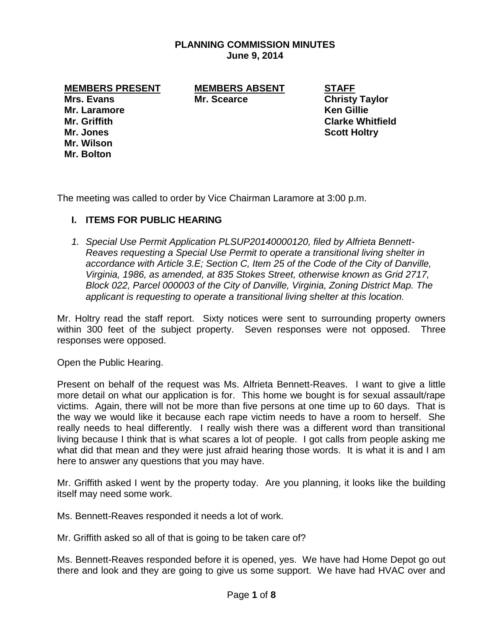## **PLANNING COMMISSION MINUTES June 9, 2014**

**MEMBERS PRESENT MEMBERS ABSENT STAFF**

**Mr. Laramore Ken Gillie Mr. Jones Scott Holtry Mr. Wilson Mr. Bolton**

**Mrs. Evans Mr. Scearce Christy Taylor Mr. Griffith Clarke Whitfield**

The meeting was called to order by Vice Chairman Laramore at 3:00 p.m.

## **I. ITEMS FOR PUBLIC HEARING**

*1. Special Use Permit Application PLSUP20140000120, filed by Alfrieta Bennett-Reaves requesting a Special Use Permit to operate a transitional living shelter in accordance with Article 3.E; Section C, Item 25 of the Code of the City of Danville, Virginia, 1986, as amended, at 835 Stokes Street, otherwise known as Grid 2717, Block 022, Parcel 000003 of the City of Danville, Virginia, Zoning District Map. The applicant is requesting to operate a transitional living shelter at this location.* 

Mr. Holtry read the staff report. Sixty notices were sent to surrounding property owners within 300 feet of the subject property. Seven responses were not opposed. Three responses were opposed.

Open the Public Hearing.

Present on behalf of the request was Ms. Alfrieta Bennett-Reaves. I want to give a little more detail on what our application is for. This home we bought is for sexual assault/rape victims. Again, there will not be more than five persons at one time up to 60 days. That is the way we would like it because each rape victim needs to have a room to herself. She really needs to heal differently. I really wish there was a different word than transitional living because I think that is what scares a lot of people. I got calls from people asking me what did that mean and they were just afraid hearing those words. It is what it is and I am here to answer any questions that you may have.

Mr. Griffith asked I went by the property today. Are you planning, it looks like the building itself may need some work.

Ms. Bennett-Reaves responded it needs a lot of work.

Mr. Griffith asked so all of that is going to be taken care of?

Ms. Bennett-Reaves responded before it is opened, yes. We have had Home Depot go out there and look and they are going to give us some support. We have had HVAC over and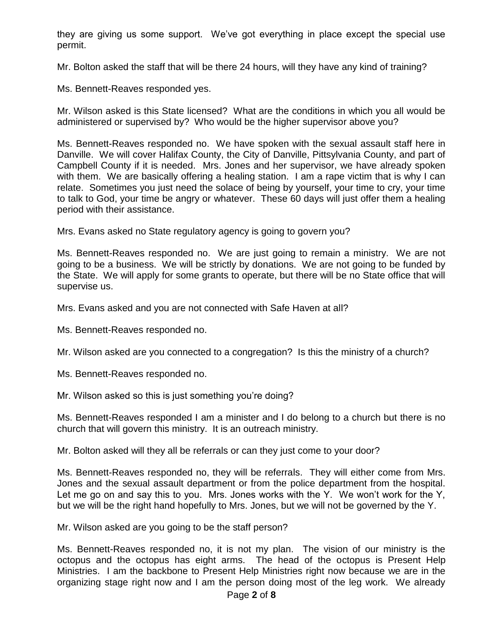they are giving us some support. We've got everything in place except the special use permit.

Mr. Bolton asked the staff that will be there 24 hours, will they have any kind of training?

Ms. Bennett-Reaves responded yes.

Mr. Wilson asked is this State licensed? What are the conditions in which you all would be administered or supervised by? Who would be the higher supervisor above you?

Ms. Bennett-Reaves responded no. We have spoken with the sexual assault staff here in Danville. We will cover Halifax County, the City of Danville, Pittsylvania County, and part of Campbell County if it is needed. Mrs. Jones and her supervisor, we have already spoken with them. We are basically offering a healing station. I am a rape victim that is why I can relate. Sometimes you just need the solace of being by yourself, your time to cry, your time to talk to God, your time be angry or whatever. These 60 days will just offer them a healing period with their assistance.

Mrs. Evans asked no State regulatory agency is going to govern you?

Ms. Bennett-Reaves responded no. We are just going to remain a ministry. We are not going to be a business. We will be strictly by donations. We are not going to be funded by the State. We will apply for some grants to operate, but there will be no State office that will supervise us.

Mrs. Evans asked and you are not connected with Safe Haven at all?

Ms. Bennett-Reaves responded no.

Mr. Wilson asked are you connected to a congregation? Is this the ministry of a church?

Ms. Bennett-Reaves responded no.

Mr. Wilson asked so this is just something you're doing?

Ms. Bennett-Reaves responded I am a minister and I do belong to a church but there is no church that will govern this ministry. It is an outreach ministry.

Mr. Bolton asked will they all be referrals or can they just come to your door?

Ms. Bennett-Reaves responded no, they will be referrals. They will either come from Mrs. Jones and the sexual assault department or from the police department from the hospital. Let me go on and say this to you. Mrs. Jones works with the Y. We won't work for the Y, but we will be the right hand hopefully to Mrs. Jones, but we will not be governed by the Y.

Mr. Wilson asked are you going to be the staff person?

Ms. Bennett-Reaves responded no, it is not my plan. The vision of our ministry is the octopus and the octopus has eight arms. The head of the octopus is Present Help Ministries. I am the backbone to Present Help Ministries right now because we are in the organizing stage right now and I am the person doing most of the leg work. We already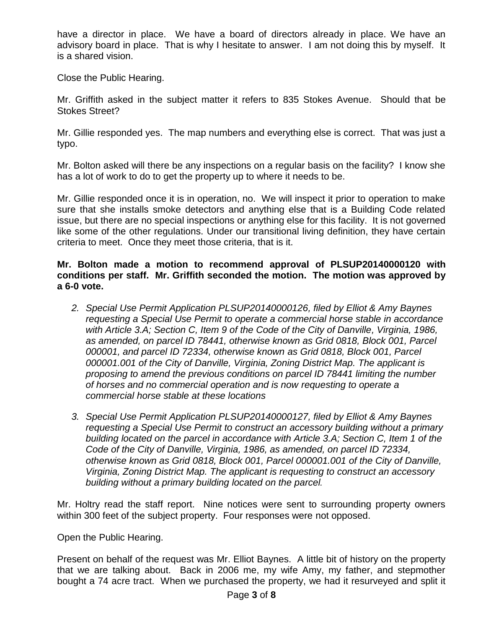have a director in place. We have a board of directors already in place. We have an advisory board in place. That is why I hesitate to answer. I am not doing this by myself. It is a shared vision.

Close the Public Hearing.

Mr. Griffith asked in the subject matter it refers to 835 Stokes Avenue. Should that be Stokes Street?

Mr. Gillie responded yes. The map numbers and everything else is correct. That was just a typo.

Mr. Bolton asked will there be any inspections on a regular basis on the facility? I know she has a lot of work to do to get the property up to where it needs to be.

Mr. Gillie responded once it is in operation, no. We will inspect it prior to operation to make sure that she installs smoke detectors and anything else that is a Building Code related issue, but there are no special inspections or anything else for this facility. It is not governed like some of the other regulations. Under our transitional living definition, they have certain criteria to meet. Once they meet those criteria, that is it.

**Mr. Bolton made a motion to recommend approval of PLSUP20140000120 with conditions per staff. Mr. Griffith seconded the motion. The motion was approved by a 6-0 vote.** 

- *2. Special Use Permit Application PLSUP20140000126, filed by Elliot & Amy Baynes requesting a Special Use Permit to operate a commercial horse stable in accordance with Article 3.A; Section C, Item 9 of the Code of the City of Danville, Virginia, 1986, as amended, on parcel ID 78441, otherwise known as Grid 0818, Block 001, Parcel 000001, and parcel ID 72334, otherwise known as Grid 0818, Block 001, Parcel 000001.001 of the City of Danville, Virginia, Zoning District Map. The applicant is proposing to amend the previous conditions on parcel ID 78441 limiting the number of horses and no commercial operation and is now requesting to operate a commercial horse stable at these locations*
- *3. Special Use Permit Application PLSUP20140000127, filed by Elliot & Amy Baynes requesting a Special Use Permit to construct an accessory building without a primary building located on the parcel in accordance with Article 3.A; Section C, Item 1 of the Code of the City of Danville, Virginia, 1986, as amended, on parcel ID 72334, otherwise known as Grid 0818, Block 001, Parcel 000001.001 of the City of Danville, Virginia, Zoning District Map. The applicant is requesting to construct an accessory building without a primary building located on the parcel.*

Mr. Holtry read the staff report. Nine notices were sent to surrounding property owners within 300 feet of the subject property. Four responses were not opposed.

Open the Public Hearing.

Present on behalf of the request was Mr. Elliot Baynes. A little bit of history on the property that we are talking about. Back in 2006 me, my wife Amy, my father, and stepmother bought a 74 acre tract. When we purchased the property, we had it resurveyed and split it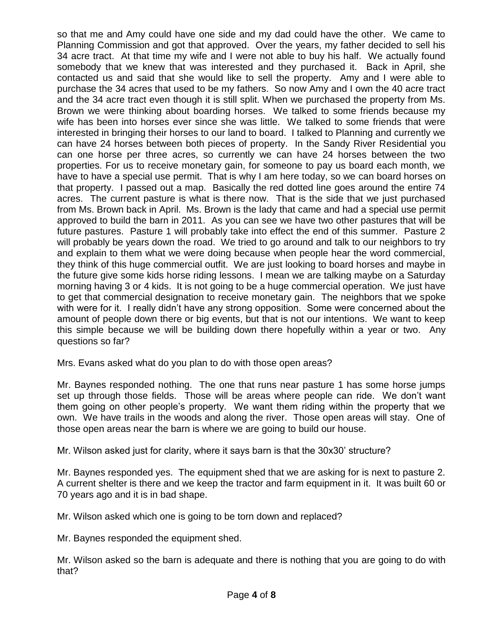so that me and Amy could have one side and my dad could have the other. We came to Planning Commission and got that approved. Over the years, my father decided to sell his 34 acre tract. At that time my wife and I were not able to buy his half. We actually found somebody that we knew that was interested and they purchased it. Back in April, she contacted us and said that she would like to sell the property. Amy and I were able to purchase the 34 acres that used to be my fathers. So now Amy and I own the 40 acre tract and the 34 acre tract even though it is still split. When we purchased the property from Ms. Brown we were thinking about boarding horses. We talked to some friends because my wife has been into horses ever since she was little. We talked to some friends that were interested in bringing their horses to our land to board. I talked to Planning and currently we can have 24 horses between both pieces of property. In the Sandy River Residential you can one horse per three acres, so currently we can have 24 horses between the two properties. For us to receive monetary gain, for someone to pay us board each month, we have to have a special use permit. That is why I am here today, so we can board horses on that property. I passed out a map. Basically the red dotted line goes around the entire 74 acres. The current pasture is what is there now. That is the side that we just purchased from Ms. Brown back in April. Ms. Brown is the lady that came and had a special use permit approved to build the barn in 2011. As you can see we have two other pastures that will be future pastures. Pasture 1 will probably take into effect the end of this summer. Pasture 2 will probably be years down the road. We tried to go around and talk to our neighbors to try and explain to them what we were doing because when people hear the word commercial, they think of this huge commercial outfit. We are just looking to board horses and maybe in the future give some kids horse riding lessons. I mean we are talking maybe on a Saturday morning having 3 or 4 kids. It is not going to be a huge commercial operation. We just have to get that commercial designation to receive monetary gain. The neighbors that we spoke with were for it. I really didn't have any strong opposition. Some were concerned about the amount of people down there or big events, but that is not our intentions. We want to keep this simple because we will be building down there hopefully within a year or two. Any questions so far?

Mrs. Evans asked what do you plan to do with those open areas?

Mr. Baynes responded nothing. The one that runs near pasture 1 has some horse jumps set up through those fields. Those will be areas where people can ride. We don't want them going on other people's property. We want them riding within the property that we own. We have trails in the woods and along the river. Those open areas will stay. One of those open areas near the barn is where we are going to build our house.

Mr. Wilson asked just for clarity, where it says barn is that the 30x30' structure?

Mr. Baynes responded yes. The equipment shed that we are asking for is next to pasture 2. A current shelter is there and we keep the tractor and farm equipment in it. It was built 60 or 70 years ago and it is in bad shape.

Mr. Wilson asked which one is going to be torn down and replaced?

Mr. Baynes responded the equipment shed.

Mr. Wilson asked so the barn is adequate and there is nothing that you are going to do with that?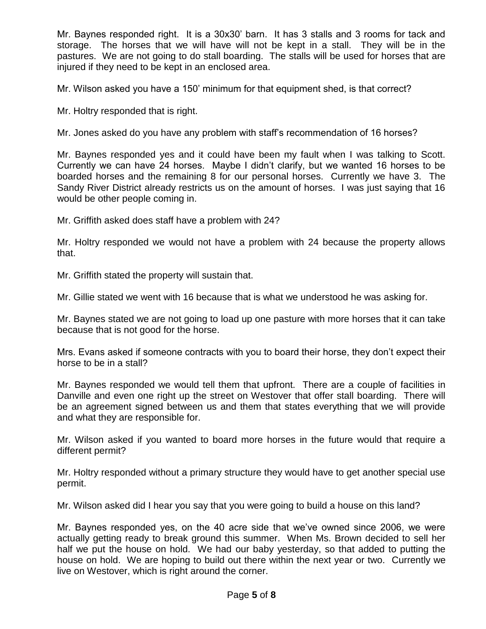Mr. Baynes responded right. It is a 30x30' barn. It has 3 stalls and 3 rooms for tack and storage. The horses that we will have will not be kept in a stall. They will be in the pastures. We are not going to do stall boarding. The stalls will be used for horses that are injured if they need to be kept in an enclosed area.

Mr. Wilson asked you have a 150' minimum for that equipment shed, is that correct?

Mr. Holtry responded that is right.

Mr. Jones asked do you have any problem with staff's recommendation of 16 horses?

Mr. Baynes responded yes and it could have been my fault when I was talking to Scott. Currently we can have 24 horses. Maybe I didn't clarify, but we wanted 16 horses to be boarded horses and the remaining 8 for our personal horses. Currently we have 3. The Sandy River District already restricts us on the amount of horses. I was just saying that 16 would be other people coming in.

Mr. Griffith asked does staff have a problem with 24?

Mr. Holtry responded we would not have a problem with 24 because the property allows that.

Mr. Griffith stated the property will sustain that.

Mr. Gillie stated we went with 16 because that is what we understood he was asking for.

Mr. Baynes stated we are not going to load up one pasture with more horses that it can take because that is not good for the horse.

Mrs. Evans asked if someone contracts with you to board their horse, they don't expect their horse to be in a stall?

Mr. Baynes responded we would tell them that upfront. There are a couple of facilities in Danville and even one right up the street on Westover that offer stall boarding. There will be an agreement signed between us and them that states everything that we will provide and what they are responsible for.

Mr. Wilson asked if you wanted to board more horses in the future would that require a different permit?

Mr. Holtry responded without a primary structure they would have to get another special use permit.

Mr. Wilson asked did I hear you say that you were going to build a house on this land?

Mr. Baynes responded yes, on the 40 acre side that we've owned since 2006, we were actually getting ready to break ground this summer. When Ms. Brown decided to sell her half we put the house on hold. We had our baby yesterday, so that added to putting the house on hold. We are hoping to build out there within the next year or two. Currently we live on Westover, which is right around the corner.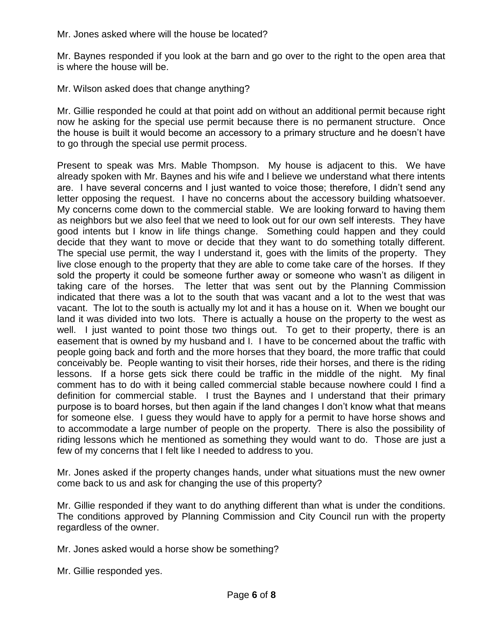Mr. Jones asked where will the house be located?

Mr. Baynes responded if you look at the barn and go over to the right to the open area that is where the house will be.

Mr. Wilson asked does that change anything?

Mr. Gillie responded he could at that point add on without an additional permit because right now he asking for the special use permit because there is no permanent structure. Once the house is built it would become an accessory to a primary structure and he doesn't have to go through the special use permit process.

Present to speak was Mrs. Mable Thompson. My house is adjacent to this. We have already spoken with Mr. Baynes and his wife and I believe we understand what there intents are. I have several concerns and I just wanted to voice those; therefore, I didn't send any letter opposing the request. I have no concerns about the accessory building whatsoever. My concerns come down to the commercial stable. We are looking forward to having them as neighbors but we also feel that we need to look out for our own self interests. They have good intents but I know in life things change. Something could happen and they could decide that they want to move or decide that they want to do something totally different. The special use permit, the way I understand it, goes with the limits of the property. They live close enough to the property that they are able to come take care of the horses. If they sold the property it could be someone further away or someone who wasn't as diligent in taking care of the horses. The letter that was sent out by the Planning Commission indicated that there was a lot to the south that was vacant and a lot to the west that was vacant. The lot to the south is actually my lot and it has a house on it. When we bought our land it was divided into two lots. There is actually a house on the property to the west as well. I just wanted to point those two things out. To get to their property, there is an easement that is owned by my husband and I. I have to be concerned about the traffic with people going back and forth and the more horses that they board, the more traffic that could conceivably be. People wanting to visit their horses, ride their horses, and there is the riding lessons. If a horse gets sick there could be traffic in the middle of the night. My final comment has to do with it being called commercial stable because nowhere could I find a definition for commercial stable. I trust the Baynes and I understand that their primary purpose is to board horses, but then again if the land changes I don't know what that means for someone else. I guess they would have to apply for a permit to have horse shows and to accommodate a large number of people on the property. There is also the possibility of riding lessons which he mentioned as something they would want to do. Those are just a few of my concerns that I felt like I needed to address to you.

Mr. Jones asked if the property changes hands, under what situations must the new owner come back to us and ask for changing the use of this property?

Mr. Gillie responded if they want to do anything different than what is under the conditions. The conditions approved by Planning Commission and City Council run with the property regardless of the owner.

Mr. Jones asked would a horse show be something?

Mr. Gillie responded yes.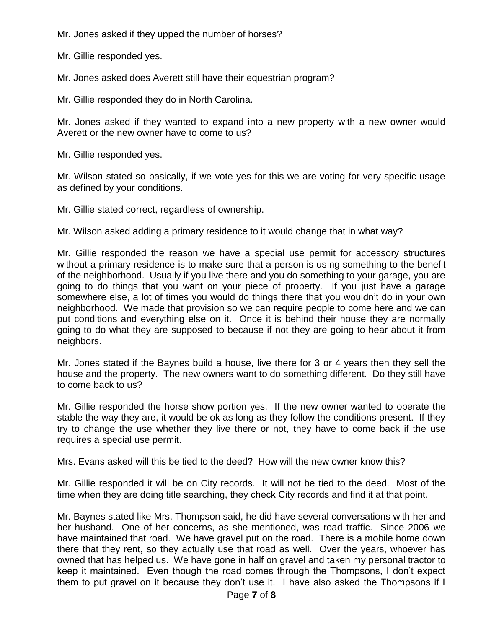Mr. Jones asked if they upped the number of horses?

Mr. Gillie responded yes.

Mr. Jones asked does Averett still have their equestrian program?

Mr. Gillie responded they do in North Carolina.

Mr. Jones asked if they wanted to expand into a new property with a new owner would Averett or the new owner have to come to us?

Mr. Gillie responded yes.

Mr. Wilson stated so basically, if we vote yes for this we are voting for very specific usage as defined by your conditions.

Mr. Gillie stated correct, regardless of ownership.

Mr. Wilson asked adding a primary residence to it would change that in what way?

Mr. Gillie responded the reason we have a special use permit for accessory structures without a primary residence is to make sure that a person is using something to the benefit of the neighborhood. Usually if you live there and you do something to your garage, you are going to do things that you want on your piece of property. If you just have a garage somewhere else, a lot of times you would do things there that you wouldn't do in your own neighborhood. We made that provision so we can require people to come here and we can put conditions and everything else on it. Once it is behind their house they are normally going to do what they are supposed to because if not they are going to hear about it from neighbors.

Mr. Jones stated if the Baynes build a house, live there for 3 or 4 years then they sell the house and the property. The new owners want to do something different. Do they still have to come back to us?

Mr. Gillie responded the horse show portion yes. If the new owner wanted to operate the stable the way they are, it would be ok as long as they follow the conditions present. If they try to change the use whether they live there or not, they have to come back if the use requires a special use permit.

Mrs. Evans asked will this be tied to the deed? How will the new owner know this?

Mr. Gillie responded it will be on City records. It will not be tied to the deed. Most of the time when they are doing title searching, they check City records and find it at that point.

Mr. Baynes stated like Mrs. Thompson said, he did have several conversations with her and her husband. One of her concerns, as she mentioned, was road traffic. Since 2006 we have maintained that road. We have gravel put on the road. There is a mobile home down there that they rent, so they actually use that road as well. Over the years, whoever has owned that has helped us. We have gone in half on gravel and taken my personal tractor to keep it maintained. Even though the road comes through the Thompsons, I don't expect them to put gravel on it because they don't use it. I have also asked the Thompsons if I